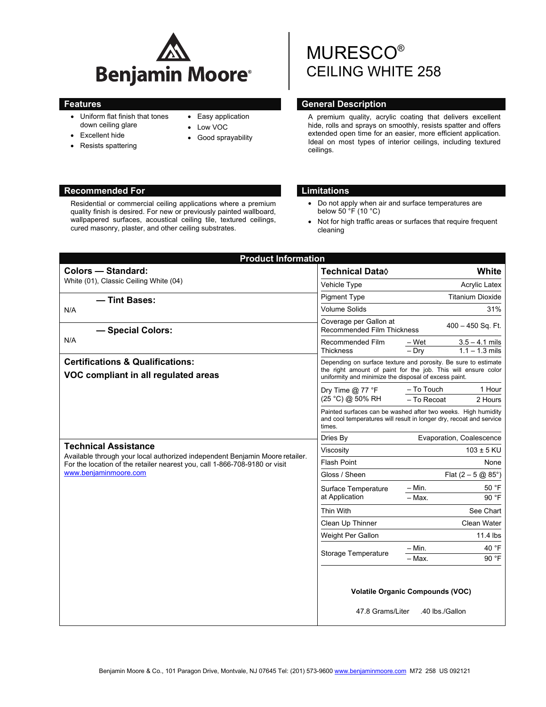

- Uniform flat finish that tones down ceiling glare
- Excellent hide
- Resists spattering
- Easy application
- Low VOC
- Good sprayability

# MURESCO® CEILING WHITE 258

# **Features General Description Contract Contract Operators of Ceneral Description**

A premium quality, acrylic coating that delivers excellent hide, rolls and sprays on smoothly, resists spatter and offers extended open time for an easier, more efficient application. Ideal on most types of interior ceilings, including textured ceilings.

# **Recommended For Limitations and Limitations**

Residential or commercial ceiling applications where a premium quality finish is desired. For new or previously painted wallboard, wallpapered surfaces, acoustical ceiling tile, textured ceilings, cured masonry, plaster, and other ceiling substrates.

- Do not apply when air and surface temperatures are below 50 °F (10 °C)
- Not for high traffic areas or surfaces that require frequent cleaning

| <b>Product Information</b>                                                                                                                                                                                         |                                                                                                                                                                                          |                                                            |
|--------------------------------------------------------------------------------------------------------------------------------------------------------------------------------------------------------------------|------------------------------------------------------------------------------------------------------------------------------------------------------------------------------------------|------------------------------------------------------------|
| <b>Colors - Standard:</b>                                                                                                                                                                                          | Technical Data <sup>(</sup>                                                                                                                                                              | White                                                      |
| White (01), Classic Ceiling White (04)                                                                                                                                                                             | Vehicle Type                                                                                                                                                                             | <b>Acrylic Latex</b>                                       |
| - Tint Bases:<br>N/A                                                                                                                                                                                               | <b>Pigment Type</b>                                                                                                                                                                      | <b>Titanium Dioxide</b>                                    |
|                                                                                                                                                                                                                    | Volume Solids                                                                                                                                                                            | 31%                                                        |
| - Special Colors:<br>N/A                                                                                                                                                                                           | Coverage per Gallon at<br><b>Recommended Film Thickness</b>                                                                                                                              | $400 - 450$ Sq. Ft.                                        |
|                                                                                                                                                                                                                    | Recommended Film<br><b>Thickness</b>                                                                                                                                                     | $3.5 - 4.1$ mils<br>– Wet<br>$-$ Drv<br>$1.1 - 1.3$ mils   |
| <b>Certifications &amp; Qualifications:</b><br>VOC compliant in all regulated areas                                                                                                                                | Depending on surface texture and porosity. Be sure to estimate<br>the right amount of paint for the job. This will ensure color<br>uniformity and minimize the disposal of excess paint. |                                                            |
|                                                                                                                                                                                                                    | Dry Time $@$ 77 °F<br>(25 °C) @ 50% RH                                                                                                                                                   | - To Touch<br>1 Hour<br>- To Recoat<br>2 Hours             |
|                                                                                                                                                                                                                    | Painted surfaces can be washed after two weeks. High humidity<br>and cool temperatures will result in longer dry, recoat and service<br>times.                                           |                                                            |
|                                                                                                                                                                                                                    | Dries By                                                                                                                                                                                 | Evaporation, Coalescence                                   |
| <b>Technical Assistance</b><br>Available through your local authorized independent Benjamin Moore retailer.<br>For the location of the retailer nearest you, call 1-866-708-9180 or visit<br>www.benjaminmoore.com | Viscosity                                                                                                                                                                                | $103 \pm 5$ KU                                             |
|                                                                                                                                                                                                                    | <b>Flash Point</b>                                                                                                                                                                       | None                                                       |
|                                                                                                                                                                                                                    | Gloss / Sheen                                                                                                                                                                            | Flat $(2 - 5 \text{ @ } 85^{\circ})$                       |
|                                                                                                                                                                                                                    | Surface Temperature<br>at Application                                                                                                                                                    | $-$ Min.<br>50 °F<br>90 °F<br>$-$ Max.                     |
|                                                                                                                                                                                                                    | Thin With                                                                                                                                                                                | See Chart                                                  |
|                                                                                                                                                                                                                    | Clean Up Thinner                                                                                                                                                                         | Clean Water                                                |
|                                                                                                                                                                                                                    | Weight Per Gallon                                                                                                                                                                        | $11.4$ lbs                                                 |
|                                                                                                                                                                                                                    | Storage Temperature                                                                                                                                                                      | 40 $\degree$ F<br>$-$ Min.<br>90 °F<br>$-$ Max.            |
|                                                                                                                                                                                                                    | 47.8 Grams/Liter                                                                                                                                                                         | <b>Volatile Organic Compounds (VOC)</b><br>.40 lbs./Gallon |